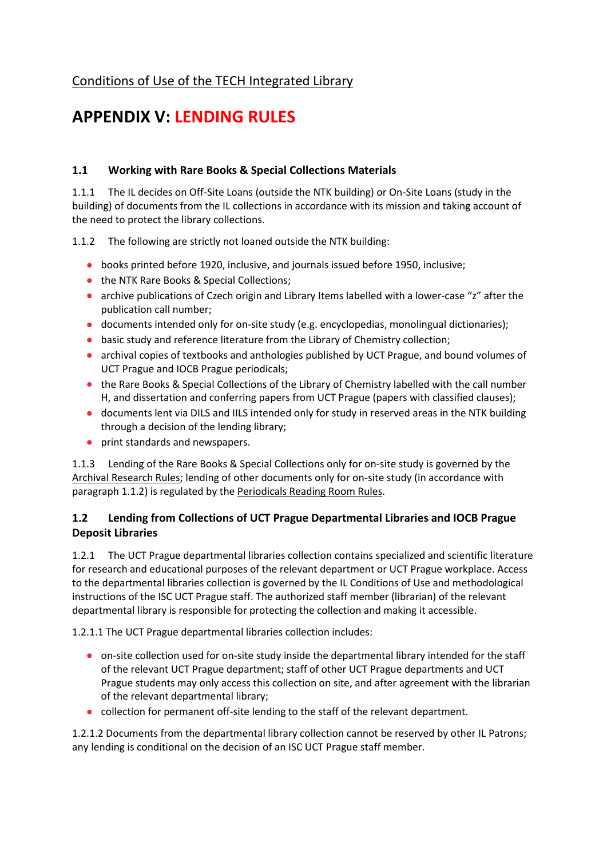# [Conditions of Use of the TECH Integrated Library](file:///C:/default/files/download/id/4617)

# **APPENDIX V: LENDING RULES**

## **1.1 Working with Rare Books & Special Collections Materials**

1.1.1 The IL decides on Off-Site Loans (outside the NTK building) or On-Site Loans (study in the building) of documents from the IL collections in accordance with its mission and taking account of the need to protect the library collections.

1.1.2 The following are strictly not loaned outside the NTK building:

- books printed before 1920, inclusive, and journals issued before 1950, inclusive;
- the NTK Rare Books & Special Collections;
- archive publications of Czech origin and Library Items labelled with a lower-case "z" after the publication call number;
- documents intended only for on-site study (e.g. encyclopedias, monolingual dictionaries);
- basic study and reference literature from the Library of Chemistry collection;
- archival copies of textbooks and anthologies published by UCT Prague, and bound volumes of UCT Prague and IOCB Prague periodicals;
- the Rare Books & Special Collections of the Library of Chemistry labelled with the call number H, and dissertation and conferring papers from UCT Prague (papers with classified clauses);
- documents lent via DILS and IILS intended only for study in reserved areas in the NTK building through a decision of the lending library;
- print standards and newspapers.

1.1.3 Lending of the Rare Books & Special Collections only for on-site study is governed by the [Archival Research Rules;](file:///C:/default/files/download/id/86910) lending of other documents only for on-site study (in accordance with paragraph 1.1.2) is regulated by the [Periodicals Reading Room Rules.](file:///C:/default/files/download/id/86911)

### **1.2 Lending from Collections of UCT Prague Departmental Libraries and IOCB Prague Deposit Libraries**

1.2.1 The UCT Prague departmental libraries collection contains specialized and scientific literature for research and educational purposes of the relevant department or UCT Prague workplace. Access to the departmental libraries collection is governed by the IL Conditions of Use and methodological instructions of the ISC UCT Prague staff. The authorized staff member (librarian) of the relevant departmental library is responsible for protecting the collection and making it accessible.

1.2.1.1 The UCT Prague departmental libraries collection includes:

- on-site collection used for on-site study inside the departmental library intended for the staff of the relevant UCT Prague department; staff of other UCT Prague departments and UCT Prague students may only access this collection on site, and after agreement with the librarian of the relevant departmental library;
- collection for permanent off-site lending to the staff of the relevant department.

1.2.1.2 Documents from the departmental library collection cannot be reserved by other IL Patrons; any lending is conditional on the decision of an ISC UCT Prague staff member.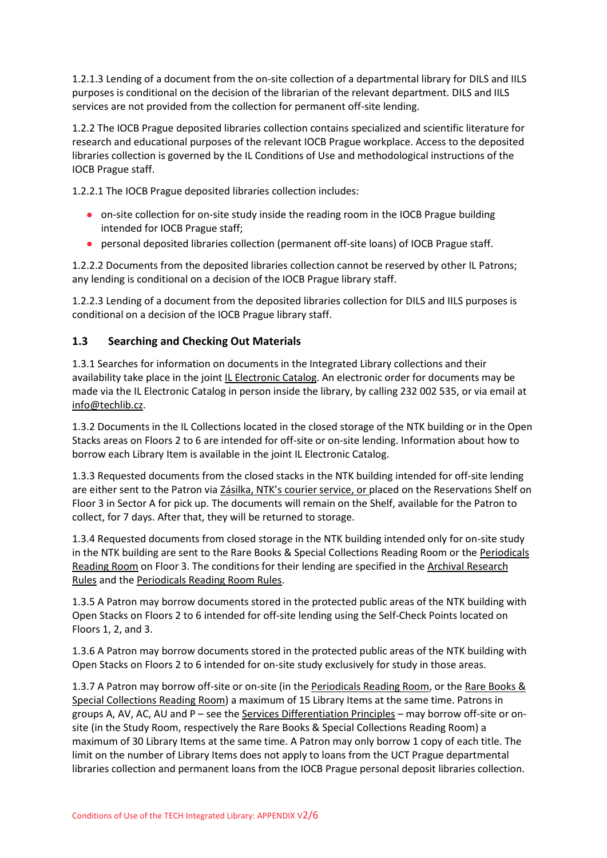1.2.1.3 Lending of a document from the on-site collection of a departmental library for DILS and IILS purposes is conditional on the decision of the librarian of the relevant department. DILS and IILS services are not provided from the collection for permanent off-site lending.

1.2.2 The IOCB Prague deposited libraries collection contains specialized and scientific literature for research and educational purposes of the relevant IOCB Prague workplace. Access to the deposited libraries collection is governed by the IL Conditions of Use and methodological instructions of the IOCB Prague staff.

1.2.2.1 The IOCB Prague deposited libraries collection includes:

- on-site collection for on-site study inside the reading room in the IOCB Prague building intended for IOCB Prague staff;
- personal deposited libraries collection (permanent off-site loans) of IOCB Prague staff.

1.2.2.2 Documents from the deposited libraries collection cannot be reserved by other IL Patrons; any lending is conditional on a decision of the IOCB Prague library staff.

1.2.2.3 Lending of a document from the deposited libraries collection for DILS and IILS purposes is conditional on a decision of the IOCB Prague library staff.

### **1.3 Searching and Checking Out Materials**

1.3.1 Searches for information on documents in the Integrated Library collections and their availability take place in the joint [IL Electronic Catalog.](https://vufind.techlib.cz/?_ga=2.229007385.402643343.1608536117-835253009.1603264929&lng=en) An electronic order for documents may be made via the IL Electronic Catalog in person inside the library, by calling 232 002 535, or via email at [info@techlib.cz.](mailto:info@techlib.cz)

1.3.2 Documents in the IL Collections located in the closed storage of the NTK building or in the Open Stacks areas on Floors 2 to 6 are intended for off-site or on-site lending. Information about how to borrow each Library Item is available in the joint IL Electronic Catalog.

1.3.3 Requested documents from the closed stacks in the NTK building intended for off-site lending are either sent to the Patron via [Zásilka, NTK's courier service](https://www.techlib.cz/en/84420-zasilka-ntk-service), or placed on the Reservations Shelf on Floor 3 in Sector A for pick up. The documents will remain on the Shelf, available for the Patron to collect, for 7 days. After that, they will be returned to storage.

1.3.4 Requested documents from closed storage in the NTK building intended only for on-site study in the NTK building are sent to the Rare Books & Special Collections Reading Room or the Periodicals [Reading Room](file:///C:/en/82969-periodicals-reading-room) on Floor 3. The conditions for their lending are specified in the [Archival Research](file:///C:/default/files/download/id/86910)  [Rules](file:///C:/default/files/download/id/86910) and the [Periodicals Reading Room Rules.](file:///C:/default/files/download/id/86911)

1.3.5 A Patron may borrow documents stored in the protected public areas of the NTK building with Open Stacks on Floors 2 to 6 intended for off-site lending using the Self-Check Points located on Floors 1, 2, and 3.

1.3.6 A Patron may borrow documents stored in the protected public areas of the NTK building with Open Stacks on Floors 2 to 6 intended for on-site study exclusively for study in those areas.

1.3.7 A Patron may borrow off-site or on-site (in th[e Periodicals Reading Room,](file:///C:/en/82969-periodicals-reading-room) or the [Rare Books &](file:///C:/en/83035-rare-books-special-collections-reading-room)  [Special Collections Reading Room\)](file:///C:/en/83035-rare-books-special-collections-reading-room) a maximum of 15 Library Items at the same time. Patrons in groups A, AV, AC, AU and P – see the [Services Differentiation Principles](file:///C:/default/files/download/id/86908) – may borrow off-site or onsite (in the Study Room, respectively the Rare Books & Special Collections Reading Room) a maximum of 30 Library Items at the same time. A Patron may only borrow 1 copy of each title. The limit on the number of Library Items does not apply to loans from the UCT Prague departmental libraries collection and permanent loans from the IOCB Prague personal deposit libraries collection.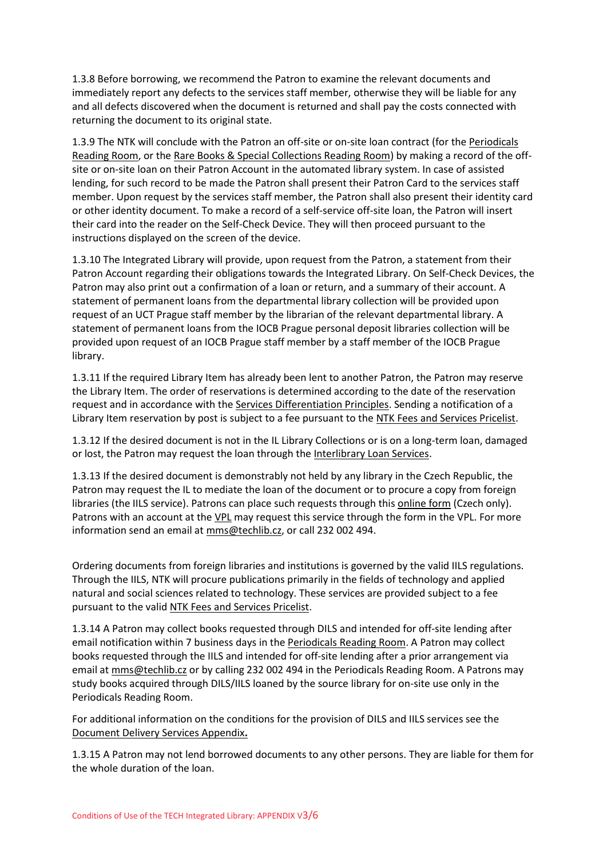1.3.8 Before borrowing, we recommend the Patron to examine the relevant documents and immediately report any defects to the services staff member, otherwise they will be liable for any and all defects discovered when the document is returned and shall pay the costs connected with returning the document to its original state.

1.3.9 The NTK will conclude with the Patron an off-site or on-site loan contract (for the [Periodicals](file:///C:/en/82969-periodicals-reading-room)  [Reading Room,](file:///C:/en/82969-periodicals-reading-room) or the [Rare Books & Special Collections Reading Room\)](file:///C:/en/83035-rare-books-special-collections-reading-room) by making a record of the offsite or on-site loan on their Patron Account in the automated library system. In case of assisted lending, for such record to be made the Patron shall present their Patron Card to the services staff member. Upon request by the services staff member, the Patron shall also present their identity card or other identity document. To make a record of a self-service off-site loan, the Patron will insert their card into the reader on the Self-Check Device. They will then proceed pursuant to the instructions displayed on the screen of the device.

1.3.10 The Integrated Library will provide, upon request from the Patron, a statement from their Patron Account regarding their obligations towards the Integrated Library. On Self-Check Devices, the Patron may also print out a confirmation of a loan or return, and a summary of their account. A statement of permanent loans from the departmental library collection will be provided upon request of an UCT Prague staff member by the librarian of the relevant departmental library. A statement of permanent loans from the IOCB Prague personal deposit libraries collection will be provided upon request of an IOCB Prague staff member by a staff member of the IOCB Prague library.

1.3.11 If the required Library Item has already been lent to another Patron, the Patron may reserve the Library Item. The order of reservations is determined according to the date of the reservation request and in accordance with the [Services Differentiation Principles.](file:///C:/default/files/download/id/86908) Sending a notification of a Library Item reservation by post is subject to a fee pursuant to the [NTK Fees and Services Pricelist.](file:///C:/default/files/download/id/4618/)

1.3.12 If the desired document is not in the IL Library Collections or is on a long-term loan, damaged or lost, the Patron may request the loan through the [Interlibrary Loan Services.](file:///C:/en/2791)

1.3.13 If the desired document is demonstrably not held by any library in the Czech Republic, the Patron may request the IL to mediate the loan of the document or to procure a copy from foreign libraries (the IILS service). Patrons can place such requests through this [online form](file:///C:/cs/82793-objednani-mms) (Czech only). Patrons with an account at th[e VPL](file:///C:/en/2879) may request this service through the form in the VPL. For more information send an email at [mms@techlib.cz,](mailto:mms@techlib.cz) or call 232 002 494.

Ordering documents from foreign libraries and institutions is governed by the valid IILS regulations. Through the IILS, NTK will procure publications primarily in the fields of technology and applied natural and social sciences related to technology. These services are provided subject to a fee pursuant to the vali[d NTK Fees and Services Pricelist.](file:///C:/default/files/download/id/4618/)

1.3.14 A Patron may collect books requested through DILS and intended for off-site lending after email notification within 7 business days in the [Periodicals Reading Room.](file:///C:/en/82969-periodicals-reading-room) A Patron may collect books requested through the IILS and intended for off-site lending after a prior arrangement via email at mms@techlib.cz or by calling 232 002 494 in the Periodicals Reading Room. A Patrons may study books acquired through DILS/IILS loaned by the source library for on-site use only in the Periodicals Reading Room.

For additional information on the conditions for the provision of DILS and IILS services see the [Document Delivery Services Appendix](file:///C:/default/files/download/id/86915)**.**

1.3.15 A Patron may not lend borrowed documents to any other persons. They are liable for them for the whole duration of the loan.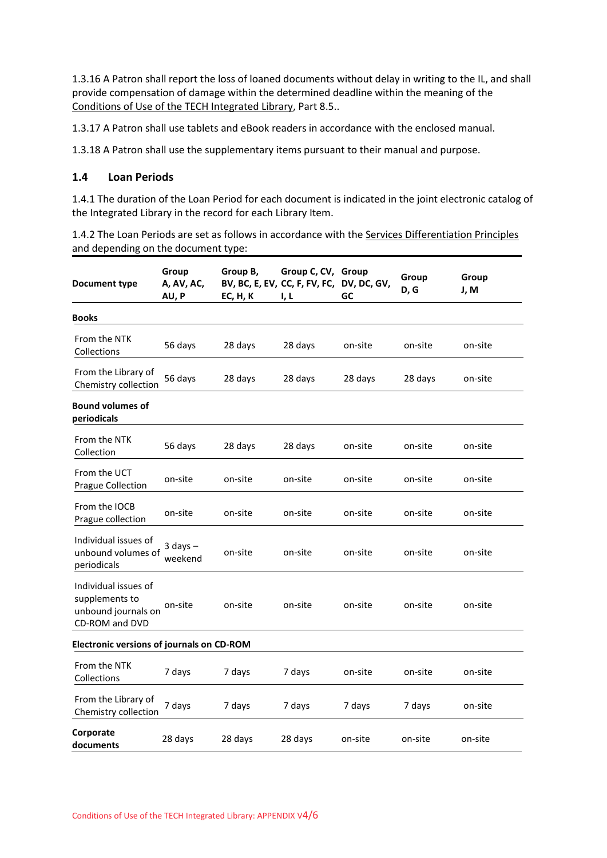1.3.16 A Patron shall report the loss of loaned documents without delay in writing to the IL, and shall provide compensation of damage within the determined deadline within the meaning of the [Conditions of Use of the TECH Integrated Library,](file:///C:/default/files/download/id/4617) Part 8.5..

1.3.17 A Patron shall use tablets and eBook readers in accordance with the enclosed manual.

1.3.18 A Patron shall use the supplementary items pursuant to their manual and purpose.

#### **1.4 Loan Periods**

1.4.1 The duration of the Loan Period for each document is indicated in the joint electronic catalog of the Integrated Library in the record for each Library Item.

1.4.2 The Loan Periods are set as follows in accordance with th[e Services Differentiation Principles](file:///C:/default/files/download/id/86908) and depending on the document type:

| <b>Document type</b>                                                            | Group<br>A, AV, AC,<br>AU, P | Group B,<br>EC, H, K | Group C, CV, Group<br>BV, BC, E, EV, CC, F, FV, FC,<br>I, L | DV, DC, GV,<br>GC | Group<br>D, G | Group<br>J, M |  |  |  |
|---------------------------------------------------------------------------------|------------------------------|----------------------|-------------------------------------------------------------|-------------------|---------------|---------------|--|--|--|
| Books                                                                           |                              |                      |                                                             |                   |               |               |  |  |  |
| From the NTK<br>Collections                                                     | 56 days                      | 28 days              | 28 days                                                     | on-site           | on-site       | on-site       |  |  |  |
| From the Library of<br>Chemistry collection                                     | 56 days                      | 28 days              | 28 days                                                     | 28 days           | 28 days       | on-site       |  |  |  |
| <b>Bound volumes of</b><br>periodicals                                          |                              |                      |                                                             |                   |               |               |  |  |  |
| From the NTK<br>Collection                                                      | 56 days                      | 28 days              | 28 days                                                     | on-site           | on-site       | on-site       |  |  |  |
| From the UCT<br><b>Prague Collection</b>                                        | on-site                      | on-site              | on-site                                                     | on-site           | on-site       | on-site       |  |  |  |
| From the IOCB<br>Prague collection                                              | on-site                      | on-site              | on-site                                                     | on-site           | on-site       | on-site       |  |  |  |
| Individual issues of<br>unbound volumes of<br>periodicals                       | $3$ days $-$<br>weekend      | on-site              | on-site                                                     | on-site           | on-site       | on-site       |  |  |  |
| Individual issues of<br>supplements to<br>unbound journals on<br>CD-ROM and DVD | on-site                      | on-site              | on-site                                                     | on-site           | on-site       | on-site       |  |  |  |
| <b>Electronic versions of journals on CD-ROM</b>                                |                              |                      |                                                             |                   |               |               |  |  |  |
| From the NTK<br>Collections                                                     | 7 days                       | 7 days               | 7 days                                                      | on-site           | on-site       | on-site       |  |  |  |
| From the Library of<br>Chemistry collection                                     | 7 days                       | 7 days               | 7 days                                                      | 7 days            | 7 days        | on-site       |  |  |  |
| Corporate<br>documents                                                          | 28 days                      | 28 days              | 28 days                                                     | on-site           | on-site       | on-site       |  |  |  |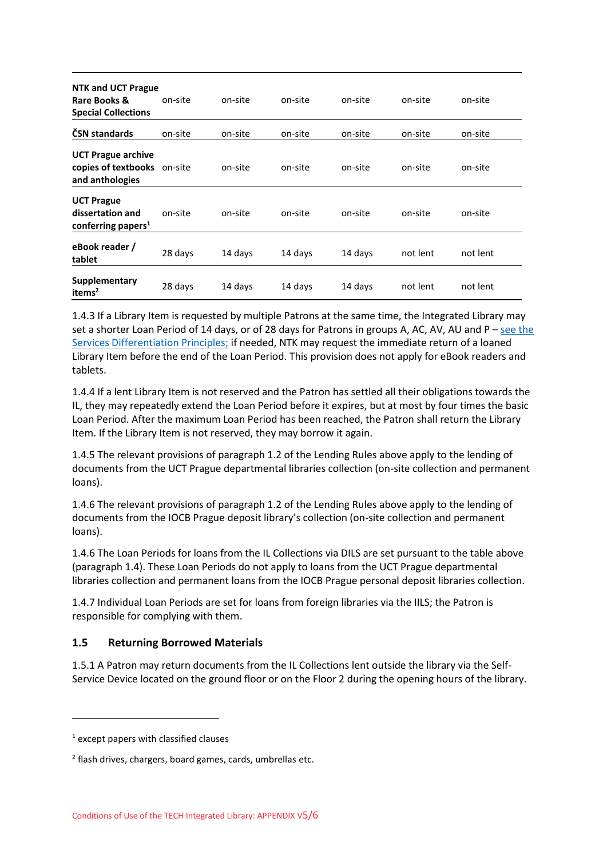| <b>NTK and UCT Prague</b><br>Rare Books &<br><b>Special Collections</b>     | on-site | on-site | on-site | on-site | on-site  | on-site  |
|-----------------------------------------------------------------------------|---------|---------|---------|---------|----------|----------|
| ČSN standards                                                               | on-site | on-site | on-site | on-site | on-site  | on-site  |
| <b>UCT Prague archive</b><br>copies of textbooks on-site<br>and anthologies |         | on-site | on-site | on-site | on-site  | on-site  |
| <b>UCT Prague</b><br>dissertation and<br>conferring papers <sup>1</sup>     | on-site | on-site | on-site | on-site | on-site  | on-site  |
| eBook reader /<br>tablet                                                    | 28 days | 14 days | 14 days | 14 days | not lent | not lent |
| Supplementary<br>items <sup>2</sup>                                         | 28 days | 14 days | 14 days | 14 days | not lent | not lent |

1.4.3 If a Library Item is requested by multiple Patrons at the same time, the Integrated Library may set a shorter Loan Period of 14 days, or of 28 days for Patrons in groups A, AC, AV, AU and P – see the [Services Differentiation Principles;](file:///C:/default/files/download/id/86908) if needed, NTK may request the immediate return of a loaned Library Item before the end of the Loan Period. This provision does not apply for eBook readers and tablets.

1.4.4 If a lent Library Item is not reserved and the Patron has settled all their obligations towards the IL, they may repeatedly extend the Loan Period before it expires, but at most by four times the basic Loan Period. After the maximum Loan Period has been reached, the Patron shall return the Library Item. If the Library Item is not reserved, they may borrow it again.

1.4.5 The relevant provisions of paragraph 1.2 of the Lending Rules above apply to the lending of documents from the UCT Prague departmental libraries collection (on-site collection and permanent loans).

1.4.6 The relevant provisions of paragraph 1.2 of the Lending Rules above apply to the lending of documents from the IOCB Prague deposit library's collection (on-site collection and permanent loans).

1.4.6 The Loan Periods for loans from the IL Collections via DILS are set pursuant to the table above (paragraph 1.4). These Loan Periods do not apply to loans from the UCT Prague departmental libraries collection and permanent loans from the IOCB Prague personal deposit libraries collection.

1.4.7 Individual Loan Periods are set for loans from foreign libraries via the IILS; the Patron is responsible for complying with them.

#### **1.5 Returning Borrowed Materials**

1.5.1 A Patron may return documents from the IL Collections lent outside the library via the Self-Service Device located on the ground floor or on the Floor 2 during the opening hours of the library.

<sup>1</sup> except papers with classified clauses

<sup>2</sup> flash drives, chargers, board games, cards, umbrellas etc.